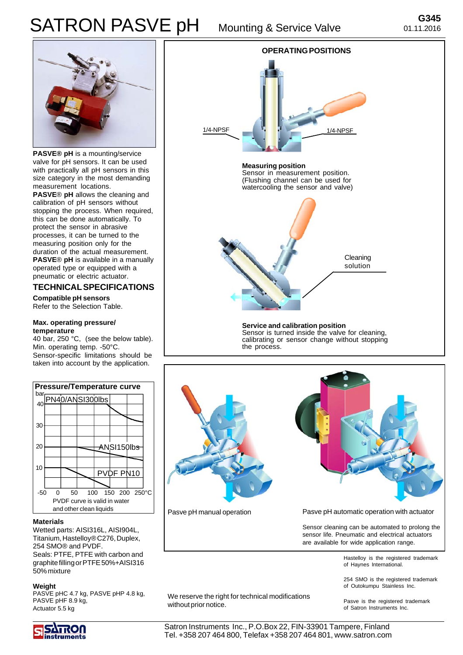# SATRON PASVE pH Mounting & Service Valve



**PASVE® pH** is a mounting/service valve for pH sensors. It can be used with practically all pH sensors in this size category in the most demanding measurement locations.

**PASVE**® **pH** allows the cleaning and calibration of pH sensors without stopping the process. When required, this can be done automatically. To protect the sensor in abrasive processes, it can be turned to the measuring position only for the duration of the actual measurement. **PASVE**® **pH** is available in a manually operated type or equipped with a pneumatic or electric actuator.

## **TECHNICAL SPECIFICATIONS**

**Compatible pH sensors** Refer to the Selection Table.

#### **Max. operating pressure/ temperature**

40 bar, 250 °C, (see the below table). Min. operating temp. -50°C. Sensor-specific limitations should be taken into account by the application.



#### **Materials**

Wetted parts: AISI316L, AISI904L, Titanium, Hastelloy® C276, Duplex, 254 SMO® and PVDF. Seals: PTFE, PTFE with carbon and graphite filling or PTFE 50%+AISI316 50% mixture

#### **Weight**

PASVE pHC 4.7 kg, PASVE pHP 4.8 kg, PASVE pHF 8.9 kg, Actuator 5.5 kg





Pasve pH manual operation Pasve pH automatic operation with actuator

Sensor cleaning can be automated to prolong the sensor life. Pneumatic and electrical actuators are available for wide application range.

> Hastelloy is the registered trademark of Haynes International.

> 254 SMO is the registered trademark of Outokumpu Stainless Inc.

We reserve the right for technical modifications we reserve the right for technical modifications<br>Without prior notice.<br>
et Satron Instruments Inc.

of Satron Instruments Inc.



Satron Instruments Inc., P.O.Box 22, FIN-33901 Tampere, Finland Tel. +358 207 464 800, Telefax +358 207 464 801, www.satron.com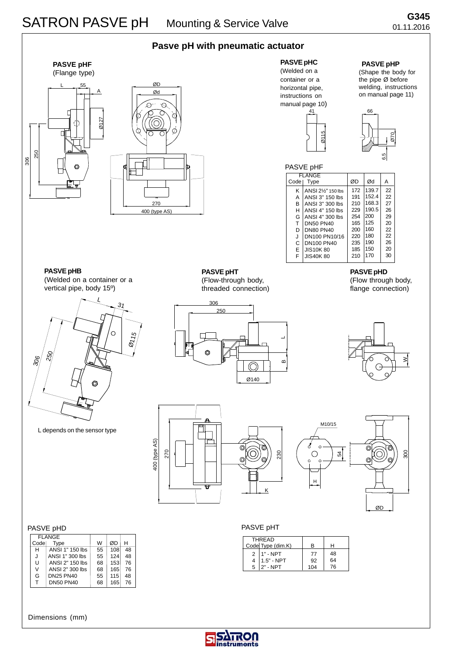



**PASVE pHC** (Welded on a container or a horizontal pipe, instructions on manual page 10) 41

Ø115

# **PASVE pHP**

(Shape the body for the pipe Ø before welding, instructions on manual page 11)



| PASVE pHF |                                 |     |       |    |
|-----------|---------------------------------|-----|-------|----|
|           | <b>FLANGE</b>                   |     |       |    |
| Codel     | Type                            | ØD  | Ød    | А  |
| ĸ         | ANSI 21/ <sub>2</sub> " 150 lbs | 172 | 139.7 | 22 |
| А         | ANSI 3" 150 lbs                 | 191 | 152.4 | 22 |
| в         | ANSI 3" 300 lbs                 | 210 | 168.3 | 27 |
| н         | ANSI 4" 150 lbs                 | 229 | 190.5 | 26 |
| G         | ANSI 4" 300 lbs                 | 254 | 200   | 29 |
| т         | <b>DN50 PN40</b>                | 165 | 125   | 20 |
| D         | <b>DN80 PN40</b>                | 200 | 160   | 22 |
| J         | DN100 PN10/16                   | 220 | 180   | 22 |
| C         | DN100 PN40                      | 235 | 190   | 26 |
| E         | <b>JIS10K80</b>                 | 185 | 150   | 20 |
| F         | <b>JIS40K80</b>                 | 210 | 170   | 30 |
|           |                                 |     |       |    |

**PASVE pHB**

(Welded on a container or a vertical pipe, body 15º)



L depends on the sensor type

**PASVE pHT** (Flow-through body,

threaded connection)





**PASVE pHD** (Flow through body, flange connection)





#### PASVE pHT

| <b>THRFAD</b>     |                  |     |    |
|-------------------|------------------|-----|----|
| Code Type (dim.K) |                  | R   |    |
| $\mathcal{P}$     | $1" - NPT$       | 77  | 48 |
| 4                 | $1.5" - NPT$     | 92  | 64 |
|                   | $5$   $2"$ - NPT | 104 | 76 |

#### PASVE pHD

| <b>FLANGE</b> |                  |    |     |    |
|---------------|------------------|----|-----|----|
| Codel         | Type             | W  | ØD  | н  |
| н             | ANSI 1" 150 lbs  | 55 | 108 | 48 |
| J             | ANSI 1" 300 lbs  | 55 | 124 | 48 |
| U             | ANSI 2" 150 lbs  | 68 | 153 | 76 |
| V             | ANSI 2" 300 lbs  | 68 | 165 | 76 |
| G             | <b>DN25 PN40</b> | 55 | 115 | 48 |
| т             | <b>DN50 PN40</b> | 68 | 165 | 76 |
|               |                  |    |     |    |

### Dimensions (mm)

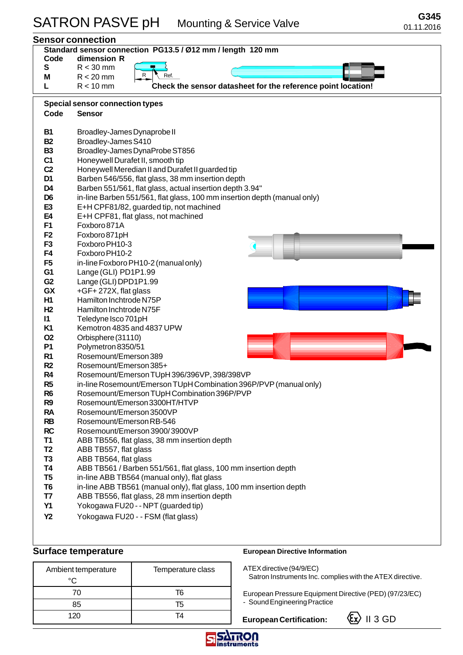| Standard sensor connection PG13.5 / Ø12 mm / length 120 mm |                                                                              |  |
|------------------------------------------------------------|------------------------------------------------------------------------------|--|
| Code                                                       | dimension R                                                                  |  |
| S                                                          | $R < 30$ mm<br>R<br>Ref.                                                     |  |
| Μ                                                          | $R < 20$ mm                                                                  |  |
| L                                                          | Check the sensor datasheet for the reference point location!<br>$R < 10$ mm  |  |
|                                                            | <b>Special sensor connection types</b>                                       |  |
| Code                                                       | <b>Sensor</b>                                                                |  |
| <b>B1</b>                                                  | Broadley-James Dynaprobe II                                                  |  |
| <b>B2</b>                                                  | Broadley-James S410                                                          |  |
| <b>B3</b>                                                  | Broadley-James DynaProbe ST856                                               |  |
| C <sub>1</sub>                                             | Honeywell Durafet II, smooth tip                                             |  |
| C <sub>2</sub>                                             | Honeywell Meredian II and Durafet II guarded tip                             |  |
| D <sub>1</sub>                                             | Barben 546/556, flat glass, 38 mm insertion depth                            |  |
| D <sub>4</sub>                                             | Barben 551/561, flat glass, actual insertion depth 3.94"                     |  |
| D <sub>6</sub>                                             | in-line Barben 551/561, flat glass, 100 mm insertion depth (manual only)     |  |
| E <sub>3</sub>                                             | E+H CPF81/82, guarded tip, not machined                                      |  |
| E4                                                         | E+H CPF81, flat glass, not machined                                          |  |
| F <sub>1</sub>                                             | Foxboro 871A                                                                 |  |
| F <sub>2</sub>                                             | Foxboro 871pH                                                                |  |
| F <sub>3</sub>                                             | Foxboro PH10-3                                                               |  |
| F4                                                         | Foxboro PH10-2                                                               |  |
| F <sub>5</sub>                                             | in-line Foxboro PH10-2 (manual only)                                         |  |
| G <sub>1</sub>                                             | Lange (GLI) PD1P1.99                                                         |  |
| G2                                                         | Lange (GLI) DPD1P1.99                                                        |  |
| GX                                                         | +GF+272X, flat glass                                                         |  |
| H1                                                         | Hamilton Inchtrode N75P                                                      |  |
| H <sub>2</sub>                                             | Hamilton Inchtrode N75F                                                      |  |
| $\mathsf{I}$                                               | Teledyne Isco 701pH                                                          |  |
| K1                                                         | Kemotron 4835 and 4837 UPW                                                   |  |
| <b>O2</b>                                                  | Orbisphere (31110)                                                           |  |
| <b>P1</b>                                                  | Polymetron 8350/51                                                           |  |
| R <sub>1</sub>                                             | Rosemount/Emerson 389                                                        |  |
| R <sub>2</sub>                                             | Rosemount/Emerson 385+                                                       |  |
| R <sub>4</sub>                                             | Rosemount/Emerson TUpH 396/396VP, 398/398VP                                  |  |
| R <sub>5</sub>                                             | in-line Rosemount/Emerson TUpH Combination 396P/PVP (manual only)            |  |
| R <sub>6</sub>                                             | Rosemount/Emerson TUpH Combination 396P/PVP<br>Rosemount/Emerson 3300HT/HTVP |  |
| R <sub>9</sub><br><b>RA</b>                                | Rosemount/Emerson 3500VP                                                     |  |
| <b>RB</b>                                                  | Rosemount/Emerson RB-546                                                     |  |
| <b>RC</b>                                                  | Rosemount/Emerson 3900/3900VP                                                |  |
| <b>T1</b>                                                  | ABB TB556, flat glass, 38 mm insertion depth                                 |  |
| T <sub>2</sub>                                             | ABB TB557, flat glass                                                        |  |
| T <sub>3</sub>                                             | ABB TB564, flat glass                                                        |  |
| <b>T4</b>                                                  | ABB TB561 / Barben 551/561, flat glass, 100 mm insertion depth               |  |
| T <sub>5</sub>                                             | in-line ABB TB564 (manual only), flat glass                                  |  |
| T <sub>6</sub>                                             | in-line ABB TB561 (manual only), flat glass, 100 mm insertion depth          |  |
| T7                                                         | ABB TB556, flat glass, 28 mm insertion depth                                 |  |
| <b>Y1</b>                                                  | Yokogawa FU20 - - NPT (guarded tip)                                          |  |
| <b>Y2</b>                                                  | Yokogawa FU20 - - FSM (flat glass)                                           |  |
|                                                            |                                                                              |  |

| Ambient temperature | Temperature class |
|---------------------|-------------------|
| °∩                  |                   |
| 70                  | T6                |
| 85                  | Τ5                |
| 120                 | TΔ                |

## **Surface temperature EURONA EURO EUROPEAN DIRECTIVE INFORMATION EUROPEAN DIRECTIVE INFORMATION**

ATEX directive (94/9/EC) Satron Instruments Inc. complies with the ATEX directive.

European Pressure Equipment Directive (PED) (97/23/EC) - Sound Engineering Practice

European Certification: **Ex** II 3 GD